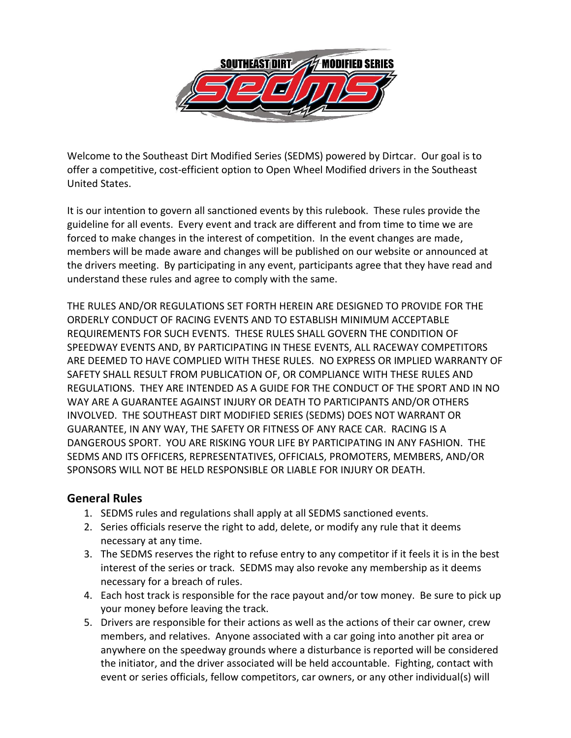

Welcome to the Southeast Dirt Modified Series (SEDMS) powered by Dirtcar. Our goal is to offer a competitive, cost-efficient option to Open Wheel Modified drivers in the Southeast United States.

It is our intention to govern all sanctioned events by this rulebook. These rules provide the guideline for all events. Every event and track are different and from time to time we are forced to make changes in the interest of competition. In the event changes are made, members will be made aware and changes will be published on our website or announced at the drivers meeting. By participating in any event, participants agree that they have read and understand these rules and agree to comply with the same.

THE RULES AND/OR REGULATIONS SET FORTH HEREIN ARE DESIGNED TO PROVIDE FOR THE ORDERLY CONDUCT OF RACING EVENTS AND TO ESTABLISH MINIMUM ACCEPTABLE REQUIREMENTS FOR SUCH EVENTS. THESE RULES SHALL GOVERN THE CONDITION OF SPEEDWAY EVENTS AND, BY PARTICIPATING IN THESE EVENTS, ALL RACEWAY COMPETITORS ARE DEEMED TO HAVE COMPLIED WITH THESE RULES. NO EXPRESS OR IMPLIED WARRANTY OF SAFETY SHALL RESULT FROM PUBLICATION OF, OR COMPLIANCE WITH THESE RULES AND REGULATIONS. THEY ARE INTENDED AS A GUIDE FOR THE CONDUCT OF THE SPORT AND IN NO WAY ARE A GUARANTEE AGAINST INJURY OR DEATH TO PARTICIPANTS AND/OR OTHERS INVOLVED. THE SOUTHEAST DIRT MODIFIED SERIES (SEDMS) DOES NOT WARRANT OR GUARANTEE, IN ANY WAY, THE SAFETY OR FITNESS OF ANY RACE CAR. RACING IS A DANGEROUS SPORT. YOU ARE RISKING YOUR LIFE BY PARTICIPATING IN ANY FASHION. THE SEDMS AND ITS OFFICERS, REPRESENTATIVES, OFFICIALS, PROMOTERS, MEMBERS, AND/OR SPONSORS WILL NOT BE HELD RESPONSIBLE OR LIABLE FOR INJURY OR DEATH.

#### **General Rules**

- 1. SEDMS rules and regulations shall apply at all SEDMS sanctioned events.
- 2. Series officials reserve the right to add, delete, or modify any rule that it deems necessary at any time.
- 3. The SEDMS reserves the right to refuse entry to any competitor if it feels it is in the best interest of the series or track. SEDMS may also revoke any membership as it deems necessary for a breach of rules.
- 4. Each host track is responsible for the race payout and/or tow money. Be sure to pick up your money before leaving the track.
- 5. Drivers are responsible for their actions as well as the actions of their car owner, crew members, and relatives. Anyone associated with a car going into another pit area or anywhere on the speedway grounds where a disturbance is reported will be considered the initiator, and the driver associated will be held accountable. Fighting, contact with event or series officials, fellow competitors, car owners, or any other individual(s) will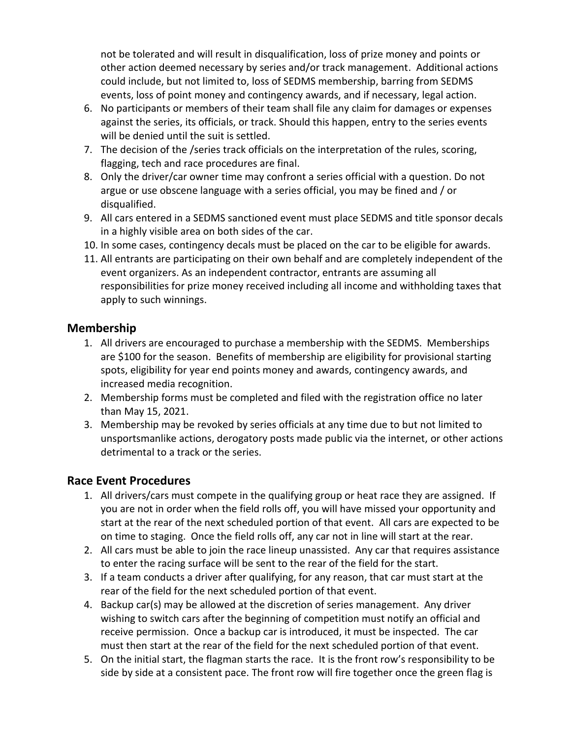not be tolerated and will result in disqualification, loss of prize money and points or other action deemed necessary by series and/or track management. Additional actions could include, but not limited to, loss of SEDMS membership, barring from SEDMS events, loss of point money and contingency awards, and if necessary, legal action.

- 6. No participants or members of their team shall file any claim for damages or expenses against the series, its officials, or track. Should this happen, entry to the series events will be denied until the suit is settled.
- 7. The decision of the /series track officials on the interpretation of the rules, scoring, flagging, tech and race procedures are final.
- 8. Only the driver/car owner time may confront a series official with a question. Do not argue or use obscene language with a series official, you may be fined and / or disqualified.
- 9. All cars entered in a SEDMS sanctioned event must place SEDMS and title sponsor decals in a highly visible area on both sides of the car.
- 10. In some cases, contingency decals must be placed on the car to be eligible for awards.
- 11. All entrants are participating on their own behalf and are completely independent of the event organizers. As an independent contractor, entrants are assuming all responsibilities for prize money received including all income and withholding taxes that apply to such winnings.

#### **Membership**

- 1. All drivers are encouraged to purchase a membership with the SEDMS. Memberships are \$100 for the season. Benefits of membership are eligibility for provisional starting spots, eligibility for year end points money and awards, contingency awards, and increased media recognition.
- 2. Membership forms must be completed and filed with the registration office no later than May 15, 2021.
- 3. Membership may be revoked by series officials at any time due to but not limited to unsportsmanlike actions, derogatory posts made public via the internet, or other actions detrimental to a track or the series.

#### **Race Event Procedures**

- 1. All drivers/cars must compete in the qualifying group or heat race they are assigned. If you are not in order when the field rolls off, you will have missed your opportunity and start at the rear of the next scheduled portion of that event. All cars are expected to be on time to staging. Once the field rolls off, any car not in line will start at the rear.
- 2. All cars must be able to join the race lineup unassisted. Any car that requires assistance to enter the racing surface will be sent to the rear of the field for the start.
- 3. If a team conducts a driver after qualifying, for any reason, that car must start at the rear of the field for the next scheduled portion of that event.
- 4. Backup car(s) may be allowed at the discretion of series management. Any driver wishing to switch cars after the beginning of competition must notify an official and receive permission. Once a backup car is introduced, it must be inspected. The car must then start at the rear of the field for the next scheduled portion of that event.
- 5. On the initial start, the flagman starts the race. It is the front row's responsibility to be side by side at a consistent pace. The front row will fire together once the green flag is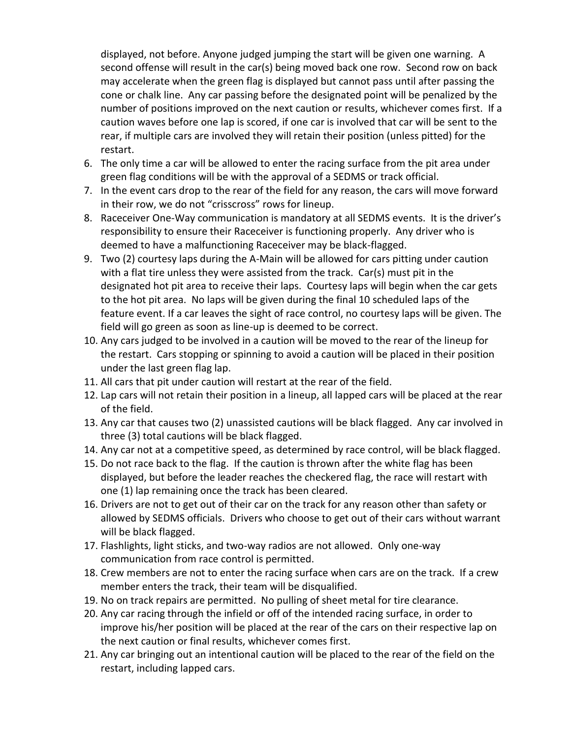displayed, not before. Anyone judged jumping the start will be given one warning. A second offense will result in the car(s) being moved back one row. Second row on back may accelerate when the green flag is displayed but cannot pass until after passing the cone or chalk line. Any car passing before the designated point will be penalized by the number of positions improved on the next caution or results, whichever comes first. If a caution waves before one lap is scored, if one car is involved that car will be sent to the rear, if multiple cars are involved they will retain their position (unless pitted) for the restart.

- 6. The only time a car will be allowed to enter the racing surface from the pit area under green flag conditions will be with the approval of a SEDMS or track official.
- 7. In the event cars drop to the rear of the field for any reason, the cars will move forward in their row, we do not "crisscross" rows for lineup.
- 8. Raceceiver One-Way communication is mandatory at all SEDMS events. It is the driver's responsibility to ensure their Raceceiver is functioning properly. Any driver who is deemed to have a malfunctioning Raceceiver may be black-flagged.
- 9. Two (2) courtesy laps during the A-Main will be allowed for cars pitting under caution with a flat tire unless they were assisted from the track. Car(s) must pit in the designated hot pit area to receive their laps. Courtesy laps will begin when the car gets to the hot pit area. No laps will be given during the final 10 scheduled laps of the feature event. If a car leaves the sight of race control, no courtesy laps will be given. The field will go green as soon as line-up is deemed to be correct.
- 10. Any cars judged to be involved in a caution will be moved to the rear of the lineup for the restart. Cars stopping or spinning to avoid a caution will be placed in their position under the last green flag lap.
- 11. All cars that pit under caution will restart at the rear of the field.
- 12. Lap cars will not retain their position in a lineup, all lapped cars will be placed at the rear of the field.
- 13. Any car that causes two (2) unassisted cautions will be black flagged. Any car involved in three (3) total cautions will be black flagged.
- 14. Any car not at a competitive speed, as determined by race control, will be black flagged.
- 15. Do not race back to the flag. If the caution is thrown after the white flag has been displayed, but before the leader reaches the checkered flag, the race will restart with one (1) lap remaining once the track has been cleared.
- 16. Drivers are not to get out of their car on the track for any reason other than safety or allowed by SEDMS officials. Drivers who choose to get out of their cars without warrant will be black flagged.
- 17. Flashlights, light sticks, and two-way radios are not allowed. Only one-way communication from race control is permitted.
- 18. Crew members are not to enter the racing surface when cars are on the track. If a crew member enters the track, their team will be disqualified.
- 19. No on track repairs are permitted. No pulling of sheet metal for tire clearance.
- 20. Any car racing through the infield or off of the intended racing surface, in order to improve his/her position will be placed at the rear of the cars on their respective lap on the next caution or final results, whichever comes first.
- 21. Any car bringing out an intentional caution will be placed to the rear of the field on the restart, including lapped cars.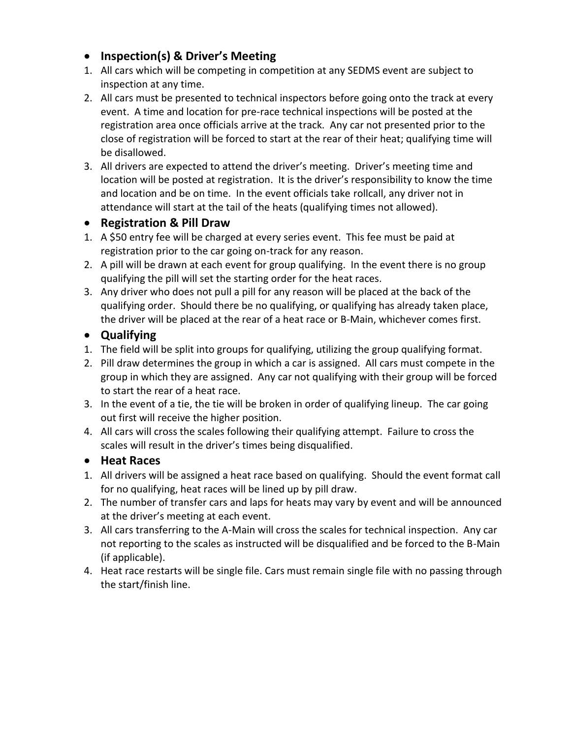- **Inspection(s) & Driver's Meeting**
- 1. All cars which will be competing in competition at any SEDMS event are subject to inspection at any time.
- 2. All cars must be presented to technical inspectors before going onto the track at every event. A time and location for pre-race technical inspections will be posted at the registration area once officials arrive at the track. Any car not presented prior to the close of registration will be forced to start at the rear of their heat; qualifying time will be disallowed.
- 3. All drivers are expected to attend the driver's meeting. Driver's meeting time and location will be posted at registration. It is the driver's responsibility to know the time and location and be on time. In the event officials take rollcall, any driver not in attendance will start at the tail of the heats (qualifying times not allowed).

# • **Registration & Pill Draw**

- 1. A \$50 entry fee will be charged at every series event. This fee must be paid at registration prior to the car going on-track for any reason.
- 2. A pill will be drawn at each event for group qualifying. In the event there is no group qualifying the pill will set the starting order for the heat races.
- 3. Any driver who does not pull a pill for any reason will be placed at the back of the qualifying order. Should there be no qualifying, or qualifying has already taken place, the driver will be placed at the rear of a heat race or B-Main, whichever comes first.

# • **Qualifying**

- 1. The field will be split into groups for qualifying, utilizing the group qualifying format.
- 2. Pill draw determines the group in which a car is assigned. All cars must compete in the group in which they are assigned. Any car not qualifying with their group will be forced to start the rear of a heat race.
- 3. In the event of a tie, the tie will be broken in order of qualifying lineup. The car going out first will receive the higher position.
- 4. All cars will cross the scales following their qualifying attempt. Failure to cross the scales will result in the driver's times being disqualified.

# • **Heat Races**

- 1. All drivers will be assigned a heat race based on qualifying. Should the event format call for no qualifying, heat races will be lined up by pill draw.
- 2. The number of transfer cars and laps for heats may vary by event and will be announced at the driver's meeting at each event.
- 3. All cars transferring to the A-Main will cross the scales for technical inspection. Any car not reporting to the scales as instructed will be disqualified and be forced to the B-Main (if applicable).
- 4. Heat race restarts will be single file. Cars must remain single file with no passing through the start/finish line.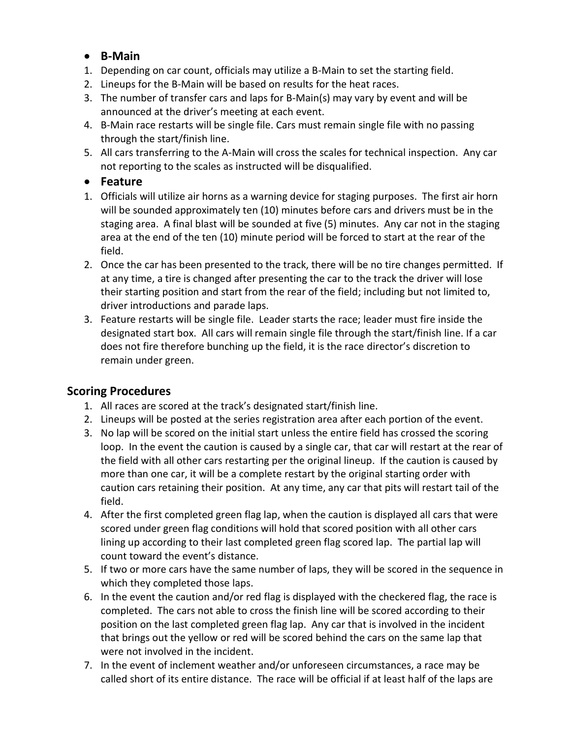# • **B-Main**

- 1. Depending on car count, officials may utilize a B-Main to set the starting field.
- 2. Lineups for the B-Main will be based on results for the heat races.
- 3. The number of transfer cars and laps for B-Main(s) may vary by event and will be announced at the driver's meeting at each event.
- 4. B-Main race restarts will be single file. Cars must remain single file with no passing through the start/finish line.
- 5. All cars transferring to the A-Main will cross the scales for technical inspection. Any car not reporting to the scales as instructed will be disqualified.

## • **Feature**

- 1. Officials will utilize air horns as a warning device for staging purposes. The first air horn will be sounded approximately ten (10) minutes before cars and drivers must be in the staging area. A final blast will be sounded at five (5) minutes. Any car not in the staging area at the end of the ten (10) minute period will be forced to start at the rear of the field.
- 2. Once the car has been presented to the track, there will be no tire changes permitted. If at any time, a tire is changed after presenting the car to the track the driver will lose their starting position and start from the rear of the field; including but not limited to, driver introductions and parade laps.
- 3. Feature restarts will be single file. Leader starts the race; leader must fire inside the designated start box. All cars will remain single file through the start/finish line. If a car does not fire therefore bunching up the field, it is the race director's discretion to remain under green.

# **Scoring Procedures**

- 1. All races are scored at the track's designated start/finish line.
- 2. Lineups will be posted at the series registration area after each portion of the event.
- 3. No lap will be scored on the initial start unless the entire field has crossed the scoring loop. In the event the caution is caused by a single car, that car will restart at the rear of the field with all other cars restarting per the original lineup. If the caution is caused by more than one car, it will be a complete restart by the original starting order with caution cars retaining their position. At any time, any car that pits will restart tail of the field.
- 4. After the first completed green flag lap, when the caution is displayed all cars that were scored under green flag conditions will hold that scored position with all other cars lining up according to their last completed green flag scored lap. The partial lap will count toward the event's distance.
- 5. If two or more cars have the same number of laps, they will be scored in the sequence in which they completed those laps.
- 6. In the event the caution and/or red flag is displayed with the checkered flag, the race is completed. The cars not able to cross the finish line will be scored according to their position on the last completed green flag lap. Any car that is involved in the incident that brings out the yellow or red will be scored behind the cars on the same lap that were not involved in the incident.
- 7. In the event of inclement weather and/or unforeseen circumstances, a race may be called short of its entire distance. The race will be official if at least half of the laps are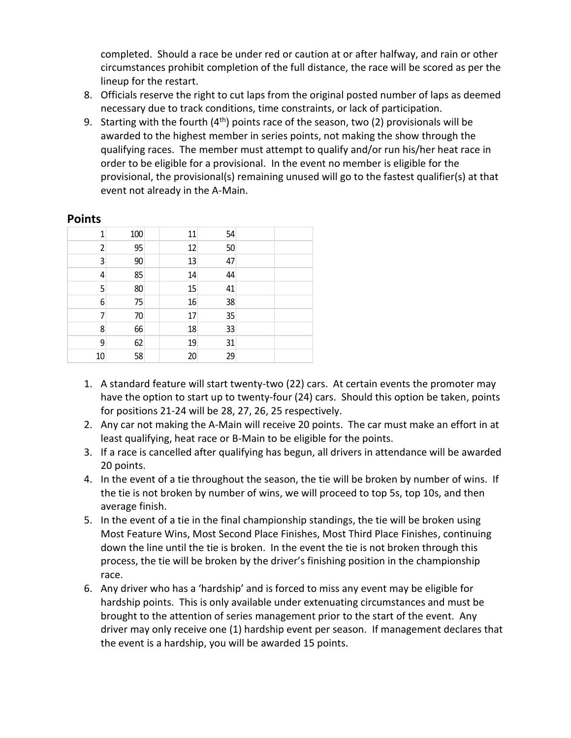completed. Should a race be under red or caution at or after halfway, and rain or other circumstances prohibit completion of the full distance, the race will be scored as per the lineup for the restart.

- 8. Officials reserve the right to cut laps from the original posted number of laps as deemed necessary due to track conditions, time constraints, or lack of participation.
- 9. Starting with the fourth  $(4<sup>th</sup>)$  points race of the season, two (2) provisionals will be awarded to the highest member in series points, not making the show through the qualifying races. The member must attempt to qualify and/or run his/her heat race in order to be eligible for a provisional. In the event no member is eligible for the provisional, the provisional(s) remaining unused will go to the fastest qualifier(s) at that event not already in the A-Main.

#### **Points**

| 1              | 100 | 11 | 54 |  |
|----------------|-----|----|----|--|
| $\overline{2}$ | 95  | 12 | 50 |  |
| 3              | 90  | 13 | 47 |  |
| 4              | 85  | 14 | 44 |  |
| 5              | 80  | 15 | 41 |  |
| 6              | 75  | 16 | 38 |  |
| 7              | 70  | 17 | 35 |  |
| 8              | 66  | 18 | 33 |  |
| 9              | 62  | 19 | 31 |  |
| 10             | 58  | 20 | 29 |  |

- 1. A standard feature will start twenty-two (22) cars. At certain events the promoter may have the option to start up to twenty-four (24) cars. Should this option be taken, points for positions 21-24 will be 28, 27, 26, 25 respectively.
- 2. Any car not making the A-Main will receive 20 points. The car must make an effort in at least qualifying, heat race or B-Main to be eligible for the points.
- 3. If a race is cancelled after qualifying has begun, all drivers in attendance will be awarded 20 points.
- 4. In the event of a tie throughout the season, the tie will be broken by number of wins. If the tie is not broken by number of wins, we will proceed to top 5s, top 10s, and then average finish.
- 5. In the event of a tie in the final championship standings, the tie will be broken using Most Feature Wins, Most Second Place Finishes, Most Third Place Finishes, continuing down the line until the tie is broken. In the event the tie is not broken through this process, the tie will be broken by the driver's finishing position in the championship race.
- 6. Any driver who has a 'hardship' and is forced to miss any event may be eligible for hardship points. This is only available under extenuating circumstances and must be brought to the attention of series management prior to the start of the event. Any driver may only receive one (1) hardship event per season. If management declares that the event is a hardship, you will be awarded 15 points.